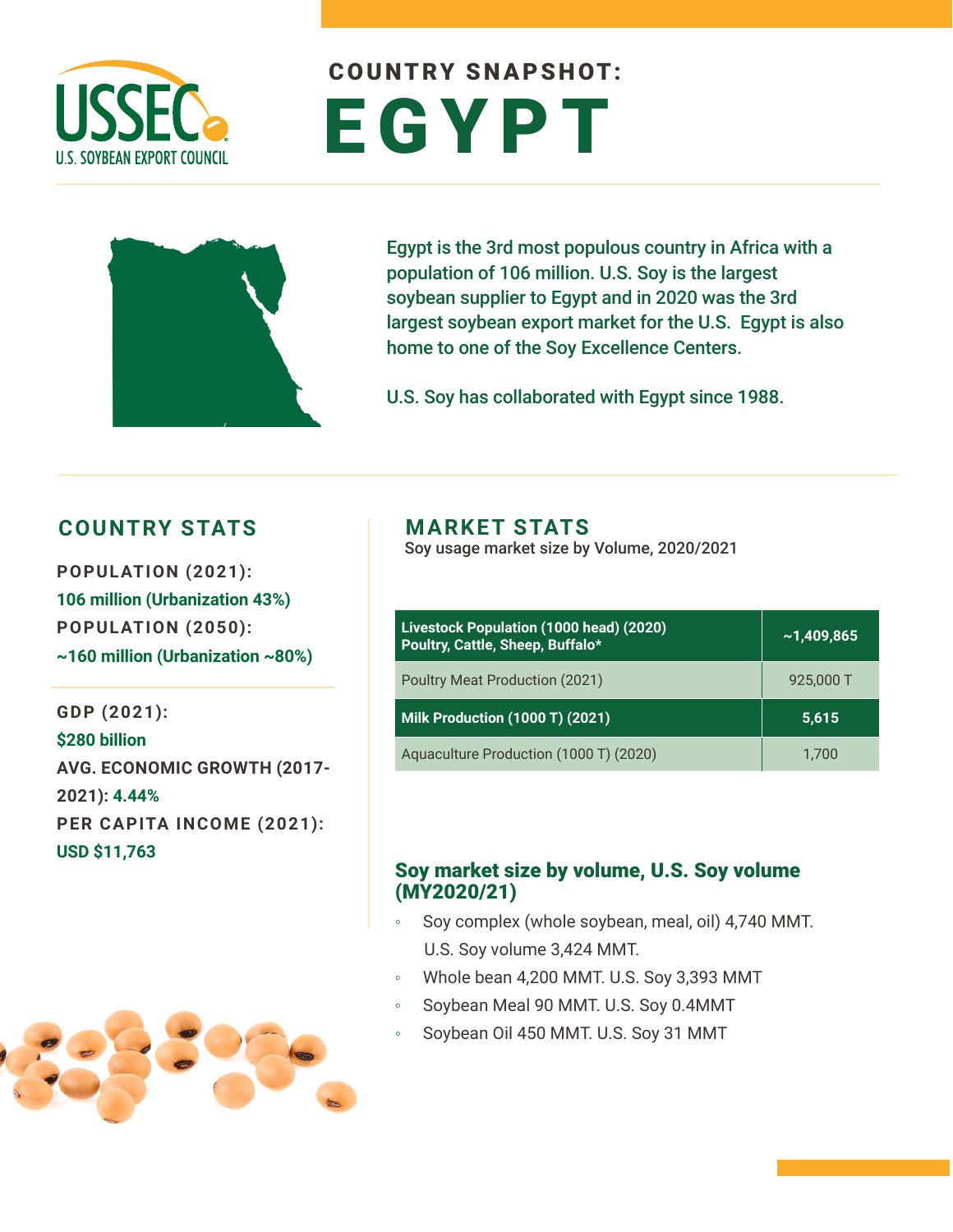

# COUNTRY SNAPSHOT: EGYPT



Egypt is the 3rd most populous country in Africa with a population of 106 million. U.S. Soy is the largest soybean supplier to Egypt and in 2020 was the 3rd largest soybean export market for the U.S. Egypt is also home to one of the Soy Excellence Centers.

U.S. Soy has collaborated with Egypt since 1988.

### **COUNTRY STATS MARKET STATS**

**POPULATION (2021): 106 million (Urbanization 43%) POPULATION (2050): ~160 million (Urbanization ~80%)**

**GDP (2021): \$280 billion AVG. ECONOMIC GROWTH (2017- 2021): 4.44% PER CAPITA INCOME (2021): USD \$11,763**



Soy usage market size by Volume, 2020/2021

| Livestock Population (1000 head) (2020)<br>Poultry, Cattle, Sheep, Buffalo* | ~1,409,865 |  |  |
|-----------------------------------------------------------------------------|------------|--|--|
| Poultry Meat Production (2021)                                              | 925,000 T  |  |  |
| <b>Milk Production (1000 T) (2021)</b>                                      | 5,615      |  |  |
| Aquaculture Production (1000 T) (2020)                                      | 1.700      |  |  |

#### Soy market size by volume, U.S. Soy volume (MY2020/21)

- Soy complex (whole soybean, meal, oil) 4,740 MMT. U.S. Soy volume 3,424 MMT.
- Whole bean 4,200 MMT. U.S. Soy 3,393 MMT
- Soybean Meal 90 MMT. U.S. Soy 0.4MMT
- Soybean Oil 450 MMT. U.S. Soy 31 MMT